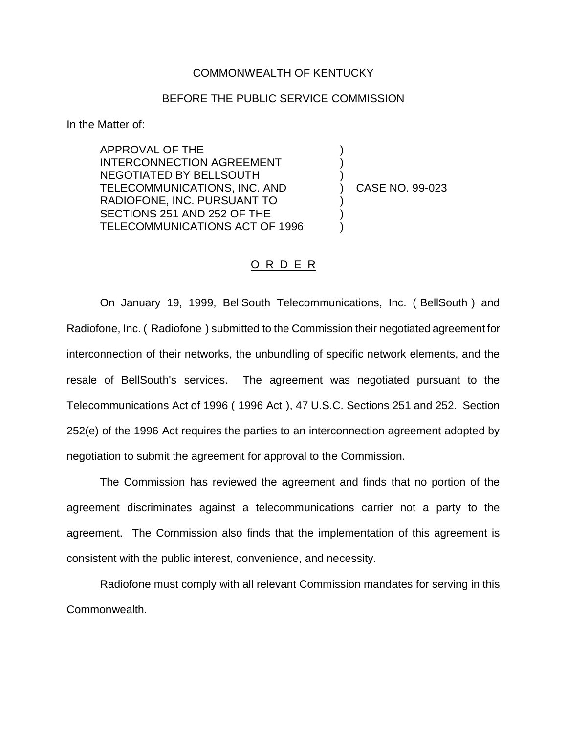## COMMONWEALTH OF KENTUCKY

## BEFORE THE PUBLIC SERVICE COMMISSION

In the Matter of:

APPROVAL OF THE INTERCONNECTION AGREEMENT NEGOTIATED BY BELLSOUTH TELECOMMUNICATIONS, INC. AND RADIOFONE, INC. PURSUANT TO SECTIONS 251 AND 252 OF THE TELECOMMUNICATIONS ACT OF 1996

) CASE NO. 99-023

) ) )

) ) )

## O R D E R

On January 19, 1999, BellSouth Telecommunications, Inc. ( BellSouth ) and Radiofone, Inc. ( Radiofone ) submitted to the Commission their negotiated agreement for interconnection of their networks, the unbundling of specific network elements, and the resale of BellSouth's services. The agreement was negotiated pursuant to the Telecommunications Act of 1996 ( 1996 Act ), 47 U.S.C. Sections 251 and 252. Section 252(e) of the 1996 Act requires the parties to an interconnection agreement adopted by negotiation to submit the agreement for approval to the Commission.

The Commission has reviewed the agreement and finds that no portion of the agreement discriminates against a telecommunications carrier not a party to the agreement. The Commission also finds that the implementation of this agreement is consistent with the public interest, convenience, and necessity.

Radiofone must comply with all relevant Commission mandates for serving in this Commonwealth.